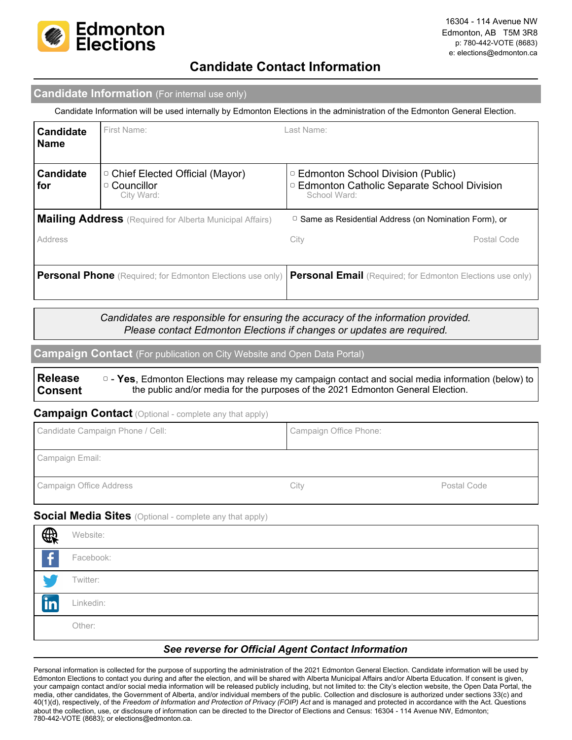

## **Candidate Contact Information**

### **Candidate Information** (For internal use only)

Candidate Information will be used internally by Edmonton Elections in the administration of the Edmonton General Election.

| <b>Candidate</b><br><b>Name</b>                                   | First Name:                                                          | Last Name:                                                                                                     |             |
|-------------------------------------------------------------------|----------------------------------------------------------------------|----------------------------------------------------------------------------------------------------------------|-------------|
| <b>Candidate</b><br>for                                           | □ Chief Elected Official (Mayor)<br>$\circ$ Councillor<br>City Ward: | □ Edmonton School Division (Public)<br><sup>o</sup> Edmonton Catholic Separate School Division<br>School Ward: |             |
|                                                                   | <b>Mailing Address</b> (Required for Alberta Municipal Affairs)      | $\circ$ Same as Residential Address (on Nomination Form), or                                                   |             |
| Address                                                           |                                                                      | City                                                                                                           | Postal Code |
| <b>Personal Phone</b> (Required; for Edmonton Elections use only) |                                                                      | <b>Personal Email</b> (Required; for Edmonton Elections use only)                                              |             |

*Candidates are responsible for ensuring the accuracy of the information provided. Please contact Edmonton Elections if changes or updates are required.*

**Campaign Contact** (For publication on City Website and Open Data Portal)

**Release Consent** ▢ - **Yes**, Edmonton Elections may release my campaign contact and social media information (below) to the public and/or media for the purposes of the 2021 Edmonton General Election.

#### **Campaign Contact** (Optional - complete any that apply)

| Candidate Campaign Phone / Cell: | Campaign Office Phone: |             |
|----------------------------------|------------------------|-------------|
| Campaign Email:                  |                        |             |
| Campaign Office Address          | Citv                   | Postal Code |

#### **Social Media Sites** (Optional - complete any that apply)

| $\bigoplus$    | Website:  |
|----------------|-----------|
| $\overline{f}$ | Facebook: |
|                | Twitter:  |
| <b>in</b>      | Linkedin: |
|                | Other:    |

#### *See reverse for Official Agent Contact Information*

Personal information is collected for the purpose of supporting the administration of the 2021 Edmonton General Election. Candidate information will be used by Edmonton Elections to contact you during and after the election, and will be shared with Alberta Municipal Affairs and/or Alberta Education. If consent is given, your campaign contact and/or social media information will be released publicly including, but not limited to: the City's election website, the Open Data Portal, the media, other candidates, the Government of Alberta, and/or individual members of the public. Collection and disclosure is authorized under sections 33(c) and 40(1)(d), respectively, of the *Freedom of Information and Protection of Privacy (FOIP) Act* and is managed and protected in accordance with the Act. Questions about the collection, use, or disclosure of information can be directed to the Director of Elections and Census: 16304 - 114 Avenue NW, Edmonton; 780-442-VOTE (8683); or elections@edmonton.ca.